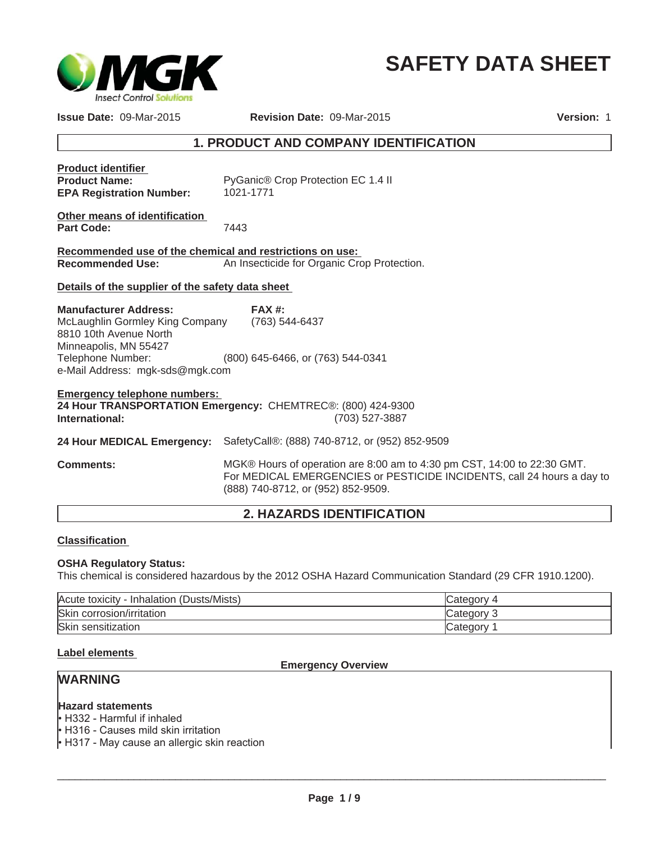

# **SAFETY DATA SHEET**

**Issue Date:** 09-Mar-2015 **Revision Date:** 09-Mar-2015 **Version:** 1

# **1. PRODUCT AND COMPANY IDENTIFICATION**

| <b>Product identifier</b><br><b>Product Name:</b><br><b>EPA Registration Number:</b>                                                                                       | PyGanic® Crop Protection EC 1.4 II<br>1021-1771                                                                                                   |
|----------------------------------------------------------------------------------------------------------------------------------------------------------------------------|---------------------------------------------------------------------------------------------------------------------------------------------------|
| Other means of identification<br><b>Part Code:</b>                                                                                                                         | 7443                                                                                                                                              |
| Recommended use of the chemical and restrictions on use:<br><b>Recommended Use:</b>                                                                                        | An Insecticide for Organic Crop Protection.                                                                                                       |
| Details of the supplier of the safety data sheet                                                                                                                           |                                                                                                                                                   |
| <b>Manufacturer Address:</b><br>McLaughlin Gormley King Company<br>8810 10th Avenue North<br>Minneapolis, MN 55427<br>Telephone Number:<br>e-Mail Address: mgk-sds@mgk.com | FAX#<br>(763) 544-6437<br>(800) 645-6466, or (763) 544-0341                                                                                       |
| <b>Emergency telephone numbers:</b><br>International:                                                                                                                      | 24 Hour TRANSPORTATION Emergency: CHEMTREC®: (800) 424-9300<br>(703) 527-3887                                                                     |
| 24 Hour MEDICAL Emergency:                                                                                                                                                 | SafetyCall®: (888) 740-8712, or (952) 852-9509                                                                                                    |
| <b>Comments:</b>                                                                                                                                                           | MGK® Hours of operation are 8:00 am to 4:30 pm CST, 14:00 to 22:30 GMT.<br>For MEDICAL EMERGENCIES or PESTICIDE INCIDENTS, call 24 hours a day to |

# **2. HAZARDS IDENTIFICATION**

(888) 740-8712, or (952) 852-9509.

#### **Classification**

#### **OSHA Regulatory Status:**

This chemical is considered hazardous by the 2012 OSHA Hazard Communication Standard (29 CFR 1910.1200).

| Acute toxicity - Inhalation (Dusts/Mists) | lCategory  |
|-------------------------------------------|------------|
| Skin corrosion/irritation                 | Category 3 |
| Skin sensitization                        | Category   |

#### **Label elements**

#### **Emergency Overview**

# **WARNING**

#### **Hazard statements**

 $\cdot$  H332 - Harmful if inhaled

• H316 - Causes mild skin irritation

 $\cdot$  H317 - May cause an allergic skin reaction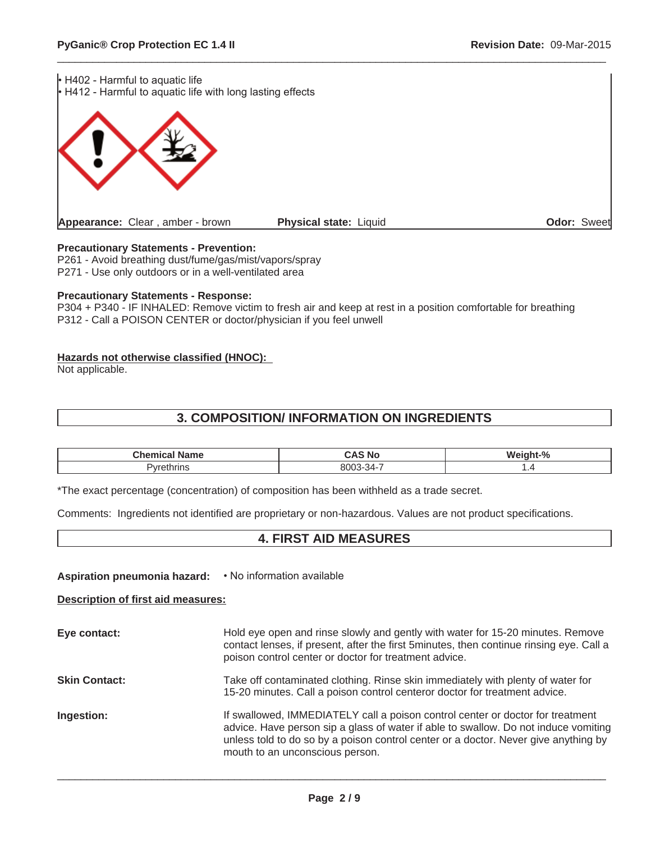$\cdot$  H402 - Harmful to aquatic life H412 - Harmful to aquatic life with long lasting effects **Appearance:** Clear , amber - brown **Physical state:** Liquid **Odor:** Sweet

#### **Precautionary Statements - Prevention:**

P261 - Avoid breathing dust/fume/gas/mist/vapors/spray P271 - Use only outdoors or in a well-ventilated area

#### **Precautionary Statements - Response:**

P304 + P340 - IF INHALED: Remove victim to fresh air and keep at rest in a position comfortable for breathing P312 - Call a POISON CENTER or doctor/physician if you feel unwell

 $\_$  ,  $\_$  ,  $\_$  ,  $\_$  ,  $\_$  ,  $\_$  ,  $\_$  ,  $\_$  ,  $\_$  ,  $\_$  ,  $\_$  ,  $\_$  ,  $\_$  ,  $\_$  ,  $\_$  ,  $\_$  ,  $\_$  ,  $\_$  ,  $\_$  ,  $\_$  ,  $\_$  ,  $\_$  ,  $\_$  ,  $\_$  ,  $\_$  ,  $\_$  ,  $\_$  ,  $\_$  ,  $\_$  ,  $\_$  ,  $\_$  ,  $\_$  ,  $\_$  ,  $\_$  ,  $\_$  ,  $\_$  ,  $\_$  ,

#### **Hazards not otherwise classified (HNOC):**

Not applicable.

# **3. COMPOSITION/ INFORMATION ON INGREDIENTS**

| <b>Name</b><br>нса | $\mathbb{R}$<br>Ξл.<br>N0<br>. . | $\Omega$<br>w |
|--------------------|----------------------------------|---------------|
| eulilis            | 11111<br>371<br>_ _ _ _ _        | .             |

\*The exact percentage (concentration) of composition has been withheld as a trade secret.

Comments: Ingredients not identified are proprietary or non-hazardous. Values are not product specifications.

### **4. FIRST AID MEASURES**

**Aspiration pneumonia hazard:**  $\cdot$  No information available

**Description of first aid measures:**

| Eye contact:         | Hold eye open and rinse slowly and gently with water for 15-20 minutes. Remove<br>contact lenses, if present, after the first 5minutes, then continue rinsing eye. Call a<br>poison control center or doctor for treatment advice.                                                              |
|----------------------|-------------------------------------------------------------------------------------------------------------------------------------------------------------------------------------------------------------------------------------------------------------------------------------------------|
| <b>Skin Contact:</b> | Take off contaminated clothing. Rinse skin immediately with plenty of water for<br>15-20 minutes. Call a poison control centeror doctor for treatment advice.                                                                                                                                   |
| Ingestion:           | If swallowed, IMMEDIATELY call a poison control center or doctor for treatment<br>advice. Have person sip a glass of water if able to swallow. Do not induce vomiting<br>unless told to do so by a poison control center or a doctor. Never give anything by<br>mouth to an unconscious person. |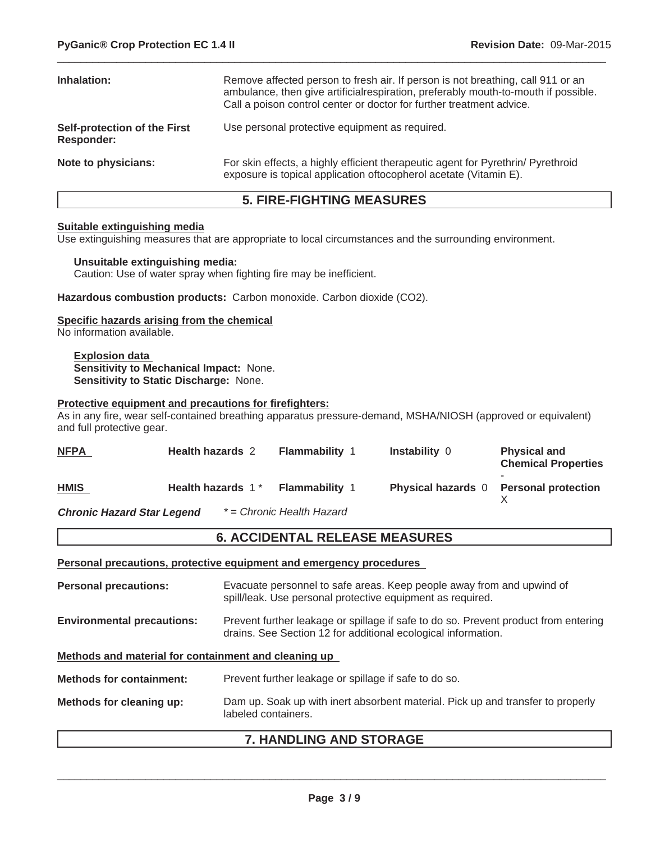| Inhalation:                                       | Remove affected person to fresh air. If person is not breathing, call 911 or an<br>ambulance, then give artificial respiration, preferably mouth-to-mouth if possible.<br>Call a poison control center or doctor for further treatment advice. |
|---------------------------------------------------|------------------------------------------------------------------------------------------------------------------------------------------------------------------------------------------------------------------------------------------------|
| Self-protection of the First<br><b>Responder:</b> | Use personal protective equipment as required.                                                                                                                                                                                                 |
| Note to physicians:                               | For skin effects, a highly efficient therapeutic agent for Pyrethrin/ Pyrethroid<br>exposure is topical application of to copherol acetate (Vitamin E).                                                                                        |

 $\_$  ,  $\_$  ,  $\_$  ,  $\_$  ,  $\_$  ,  $\_$  ,  $\_$  ,  $\_$  ,  $\_$  ,  $\_$  ,  $\_$  ,  $\_$  ,  $\_$  ,  $\_$  ,  $\_$  ,  $\_$  ,  $\_$  ,  $\_$  ,  $\_$  ,  $\_$  ,  $\_$  ,  $\_$  ,  $\_$  ,  $\_$  ,  $\_$  ,  $\_$  ,  $\_$  ,  $\_$  ,  $\_$  ,  $\_$  ,  $\_$  ,  $\_$  ,  $\_$  ,  $\_$  ,  $\_$  ,  $\_$  ,  $\_$  ,

# **5. FIRE-FIGHTING MEASURES**

#### **Suitable extinguishing media**

Use extinguishing measures that are appropriate to local circumstances and the surrounding environment.

#### **Unsuitable extinguishing media:**

Caution: Use of water spray when fighting fire may be inefficient.

**Hazardous combustion products:** Carbon monoxide. Carbon dioxide (CO2).

#### **Specific hazards arising from the chemical**

No information available.

**Explosion data Sensitivity to Mechanical Impact:** None. **Sensitivity to Static Discharge:** None.

#### **Protective equipment and precautions for firefighters:**

As in any fire, wear self-contained breathing apparatus pressure-demand, MSHA/NIOSH (approved or equivalent) and full protective gear.

| <b>NFPA</b>                       | <b>Health hazards 2</b> | <b>Flammability 1</b>     | <b>Instability 0</b>      | <b>Physical and</b><br><b>Chemical Properties</b> |
|-----------------------------------|-------------------------|---------------------------|---------------------------|---------------------------------------------------|
| <b>HMIS</b>                       | Health hazards 1*       | <b>Flammability 1</b>     | <b>Physical hazards</b> 0 | <b>Personal protection</b>                        |
| <b>Chronic Hazard Star Legend</b> |                         | * = Chronic Health Hazard |                           |                                                   |

#### **6. ACCIDENTAL RELEASE MEASURES**

**Personal precautions, protective equipment and emergency procedures**

|                                                      | 7 LIANDI ING AND CTODACE                                                                                                                             |
|------------------------------------------------------|------------------------------------------------------------------------------------------------------------------------------------------------------|
| Methods for cleaning up:                             | Dam up. Soak up with inert absorbent material. Pick up and transfer to properly<br>labeled containers.                                               |
| <b>Methods for containment:</b>                      | Prevent further leakage or spillage if safe to do so.                                                                                                |
| Methods and material for containment and cleaning up |                                                                                                                                                      |
| <b>Environmental precautions:</b>                    | Prevent further leakage or spillage if safe to do so. Prevent product from entering<br>drains. See Section 12 for additional ecological information. |
| <b>Personal precautions:</b>                         | Evacuate personnel to safe areas. Keep people away from and upwind of<br>spill/leak. Use personal protective equipment as required.                  |
|                                                      |                                                                                                                                                      |

#### **7. HANDLING AND STORAGE**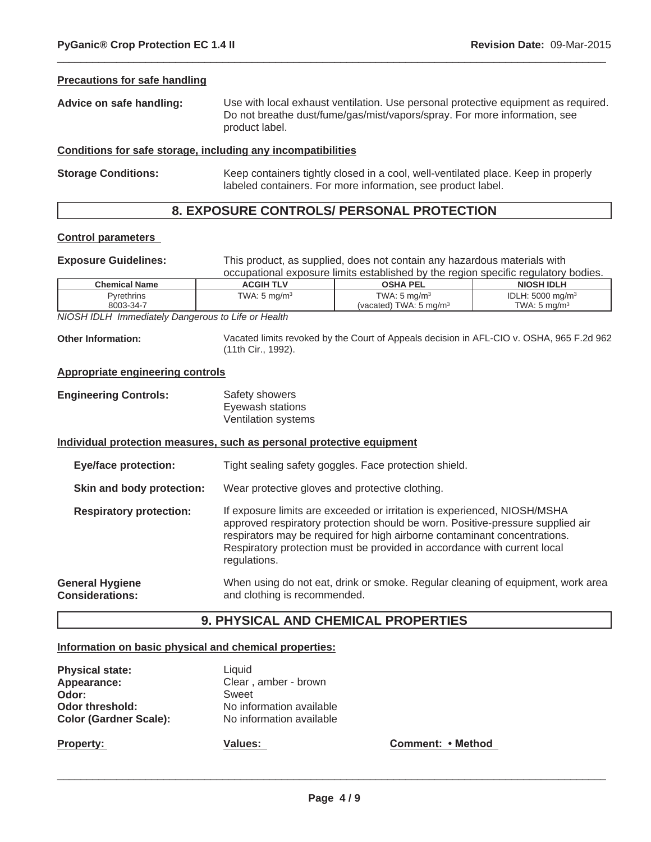#### **Precautions for safe handling**

| Advice on safe handling: | Use with local exhaust ventilation. Use personal protective equipment as required.          |
|--------------------------|---------------------------------------------------------------------------------------------|
|                          | Do not breathe dust/fume/gas/mist/vapors/spray. For more information, see<br>product label. |

 $\_$  ,  $\_$  ,  $\_$  ,  $\_$  ,  $\_$  ,  $\_$  ,  $\_$  ,  $\_$  ,  $\_$  ,  $\_$  ,  $\_$  ,  $\_$  ,  $\_$  ,  $\_$  ,  $\_$  ,  $\_$  ,  $\_$  ,  $\_$  ,  $\_$  ,  $\_$  ,  $\_$  ,  $\_$  ,  $\_$  ,  $\_$  ,  $\_$  ,  $\_$  ,  $\_$  ,  $\_$  ,  $\_$  ,  $\_$  ,  $\_$  ,  $\_$  ,  $\_$  ,  $\_$  ,  $\_$  ,  $\_$  ,  $\_$  ,

#### **Conditions for safe storage, including any incompatibilities**

**Storage Conditions:** Keep containers tightly closed in a cool, well-ventilated place. Keep in properly labeled containers. For more information, see product label.

# **8. EXPOSURE CONTROLS/ PERSONAL PROTECTION**

#### **Control parameters**

**Exposure Guidelines:** This product, as supplied, does not contain any hazardous materials with occupational exposure limits established by the region specific regulatory bodies.

| <b>Chemical Name</b> | ACGIH TLV               | <b>OSHA PEL</b>                   | <b>NIOSH IDLH</b>            |
|----------------------|-------------------------|-----------------------------------|------------------------------|
| <b>Pyrethrins</b>    | TWA: $5 \text{ mg/m}^3$ | TWA: $5 \text{ mg/m}^3$           | IDLH: 5000 mg/m <sup>3</sup> |
| 8003-34-7            |                         | (vacated) TWA: $5 \text{ ma/m}^3$ | TWA: 5 ma/m <sup>3</sup>     |

*NIOSH IDLH Immediately Dangerous to Life or Health*

**Other Information:** Vacated limits revoked by the Court of Appeals decision in AFL-CIO v. OSHA, 965 F.2d 962 (11th Cir., 1992).

#### **Appropriate engineering controls**

| <b>Engineering Controls:</b> | Safety showers      |
|------------------------------|---------------------|
|                              | Eyewash stations    |
|                              | Ventilation systems |

#### **Individual protection measures, such as personal protective equipment**

**Eye/face protection:** Tight sealing safety goggles. Face protection shield.

**Skin and body protection:** Wear protective gloves and protective clothing.

**Respiratory protection:** If exposure limits are exceeded or irritation is experienced, NIOSH/MSHA approved respiratory protection should be worn. Positive-pressure supplied air respirators may be required for high airborne contaminant concentrations. Respiratory protection must be provided in accordance with current local regulations.

**General Hygiene Considerations:** When using do not eat, drink or smoke. Regular cleaning of equipment, work area and clothing is recommended.

#### **9. PHYSICAL AND CHEMICAL PROPERTIES**

#### **Information on basic physical and chemical properties:**

| <b>Physical state:</b>        | Liquid                   |
|-------------------------------|--------------------------|
| Appearance:                   | Clear, amber - brown     |
| Odor:                         | Sweet                    |
| Odor threshold:               | No information available |
| <b>Color (Gardner Scale):</b> | No information available |
|                               |                          |

**Property:**

**Values: Comment:** • Method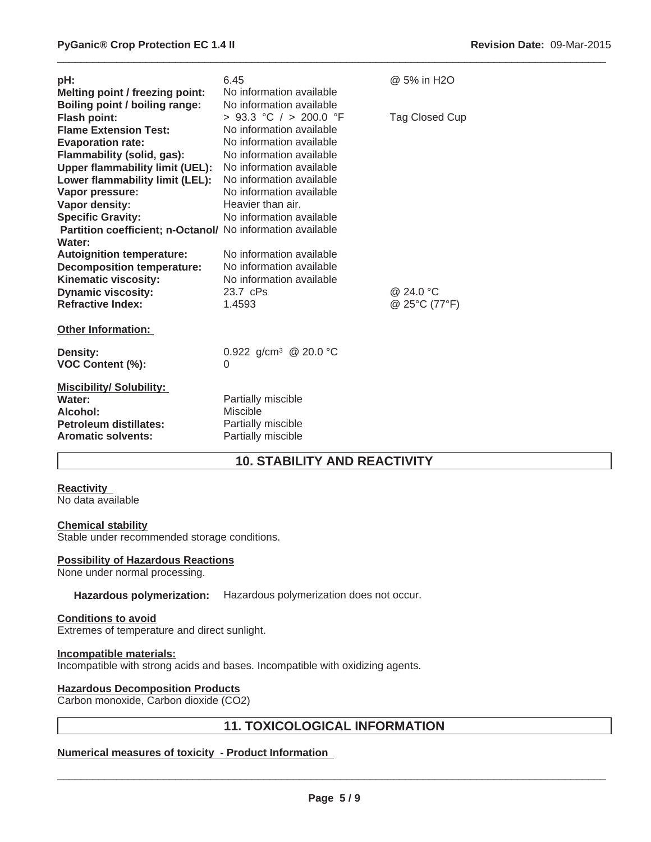| pH:<br>Melting point / freezing point:<br>Boiling point / boiling range:                                                                                                                                                        | 6.45<br>No information available<br>No information available                                                                                                                                                        | @ 5% in H2O                |
|---------------------------------------------------------------------------------------------------------------------------------------------------------------------------------------------------------------------------------|---------------------------------------------------------------------------------------------------------------------------------------------------------------------------------------------------------------------|----------------------------|
| <b>Flash point:</b><br><b>Flame Extension Test:</b><br><b>Evaporation rate:</b><br>Flammability (solid, gas):<br><b>Upper flammability limit (UEL):</b><br>Lower flammability limit (LEL):<br>Vapor pressure:<br>Vapor density: | > 93.3 °C / > 200.0 °F<br>No information available<br>No information available<br>No information available<br>No information available<br>No information available<br>No information available<br>Heavier than air. | Tag Closed Cup             |
| <b>Specific Gravity:</b><br>Partition coefficient; n-Octanol/ No information available<br>Water:                                                                                                                                | No information available                                                                                                                                                                                            |                            |
| <b>Autoignition temperature:</b><br><b>Decomposition temperature:</b><br>Kinematic viscosity:<br><b>Dynamic viscosity:</b><br><b>Refractive Index:</b>                                                                          | No information available<br>No information available<br>No information available<br>23.7 cPs<br>1.4593                                                                                                              | @ 24.0 °C<br>@ 25°C (77°F) |
| <b>Other Information:</b>                                                                                                                                                                                                       |                                                                                                                                                                                                                     |                            |
| Density:<br>VOC Content (%):                                                                                                                                                                                                    | 0.922 g/cm <sup>3</sup> @ 20.0 °C<br>0                                                                                                                                                                              |                            |
| <b>Miscibility/ Solubility:</b><br>Water:<br>Alcohol:<br>Petroleum distillates:<br><b>Aromatic solvents:</b>                                                                                                                    | Partially miscible<br>Miscible<br>Partially miscible<br>Partially miscible                                                                                                                                          |                            |

# **10. STABILITY AND REACTIVITY**

 $\_$  ,  $\_$  ,  $\_$  ,  $\_$  ,  $\_$  ,  $\_$  ,  $\_$  ,  $\_$  ,  $\_$  ,  $\_$  ,  $\_$  ,  $\_$  ,  $\_$  ,  $\_$  ,  $\_$  ,  $\_$  ,  $\_$  ,  $\_$  ,  $\_$  ,  $\_$  ,  $\_$  ,  $\_$  ,  $\_$  ,  $\_$  ,  $\_$  ,  $\_$  ,  $\_$  ,  $\_$  ,  $\_$  ,  $\_$  ,  $\_$  ,  $\_$  ,  $\_$  ,  $\_$  ,  $\_$  ,  $\_$  ,  $\_$  ,

#### **Reactivity**

No data available

#### **Chemical stability**

Stable under recommended storage conditions.

#### **Possibility of Hazardous Reactions**

None under normal processing.

#### **Hazardous polymerization:** Hazardous polymerization does not occur.

#### **Conditions to avoid**

Extremes of temperature and direct sunlight.

#### **Incompatible materials:**

Incompatible with strong acids and bases. Incompatible with oxidizing agents.

# **Hazardous Decomposition Products**

Carbon monoxide, Carbon dioxide (CO2)

# **11. TOXICOLOGICAL INFORMATION**

# **Numerical measures of toxicity - Product Information**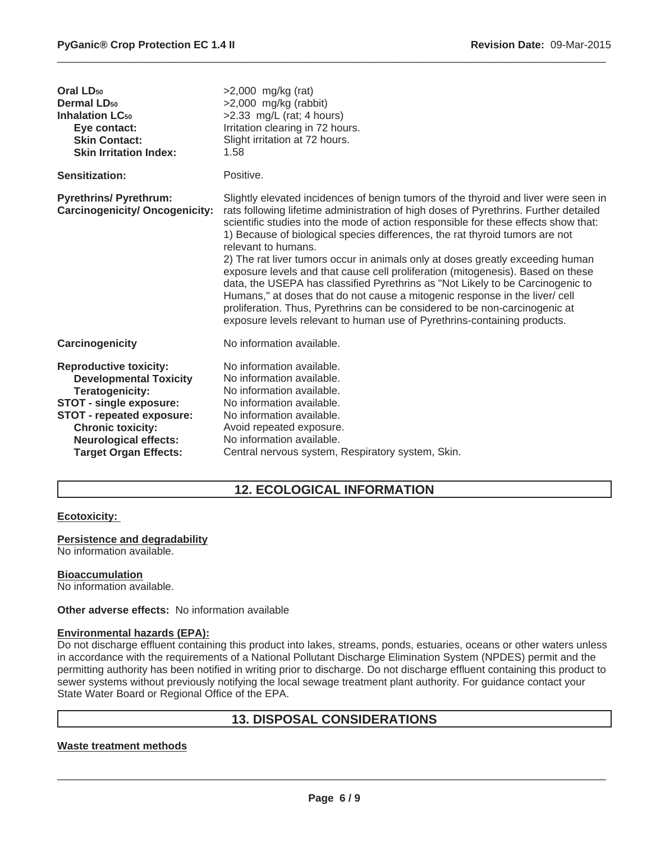| $>2,000$ mg/kg (rat)<br>>2,000 mg/kg (rabbit)<br>$>2.33$ mg/L (rat; 4 hours)<br>Irritation clearing in 72 hours.<br>Slight irritation at 72 hours.<br>1.58                                                                                                                                                                                                                                                                                                                                                                                                                                                                                                                                                                                                                                                                                                                 |
|----------------------------------------------------------------------------------------------------------------------------------------------------------------------------------------------------------------------------------------------------------------------------------------------------------------------------------------------------------------------------------------------------------------------------------------------------------------------------------------------------------------------------------------------------------------------------------------------------------------------------------------------------------------------------------------------------------------------------------------------------------------------------------------------------------------------------------------------------------------------------|
| Positive.                                                                                                                                                                                                                                                                                                                                                                                                                                                                                                                                                                                                                                                                                                                                                                                                                                                                  |
| Slightly elevated incidences of benign tumors of the thyroid and liver were seen in<br>rats following lifetime administration of high doses of Pyrethrins. Further detailed<br>scientific studies into the mode of action responsible for these effects show that:<br>1) Because of biological species differences, the rat thyroid tumors are not<br>relevant to humans.<br>2) The rat liver tumors occur in animals only at doses greatly exceeding human<br>exposure levels and that cause cell proliferation (mitogenesis). Based on these<br>data, the USEPA has classified Pyrethrins as "Not Likely to be Carcinogenic to<br>Humans," at doses that do not cause a mitogenic response in the liver/ cell<br>proliferation. Thus, Pyrethrins can be considered to be non-carcinogenic at<br>exposure levels relevant to human use of Pyrethrins-containing products. |
| No information available.                                                                                                                                                                                                                                                                                                                                                                                                                                                                                                                                                                                                                                                                                                                                                                                                                                                  |
| No information available.<br>No information available.<br>No information available.<br>No information available.<br>No information available.<br>Avoid repeated exposure.<br>No information available.<br>Central nervous system, Respiratory system, Skin.                                                                                                                                                                                                                                                                                                                                                                                                                                                                                                                                                                                                                |
|                                                                                                                                                                                                                                                                                                                                                                                                                                                                                                                                                                                                                                                                                                                                                                                                                                                                            |

 $\_$  ,  $\_$  ,  $\_$  ,  $\_$  ,  $\_$  ,  $\_$  ,  $\_$  ,  $\_$  ,  $\_$  ,  $\_$  ,  $\_$  ,  $\_$  ,  $\_$  ,  $\_$  ,  $\_$  ,  $\_$  ,  $\_$  ,  $\_$  ,  $\_$  ,  $\_$  ,  $\_$  ,  $\_$  ,  $\_$  ,  $\_$  ,  $\_$  ,  $\_$  ,  $\_$  ,  $\_$  ,  $\_$  ,  $\_$  ,  $\_$  ,  $\_$  ,  $\_$  ,  $\_$  ,  $\_$  ,  $\_$  ,  $\_$  ,

# **12. ECOLOGICAL INFORMATION**

#### **Ecotoxicity:**

#### **Persistence and degradability**

No information available.

#### **Bioaccumulation**

No information available.

#### **Other adverse effects:** No information available

#### **Environmental hazards (EPA):**

Do not discharge effluent containing this product into lakes, streams, ponds, estuaries, oceans or other waters unless in accordance with the requirements of a National Pollutant Discharge Elimination System (NPDES) permit and the permitting authority has been notified in writing prior to discharge. Do not discharge effluent containing this product to sewer systems without previously notifying the local sewage treatment plant authority. For guidance contact your State Water Board or Regional Office of the EPA.

# **13. DISPOSAL CONSIDERATIONS**

#### **Waste treatment methods**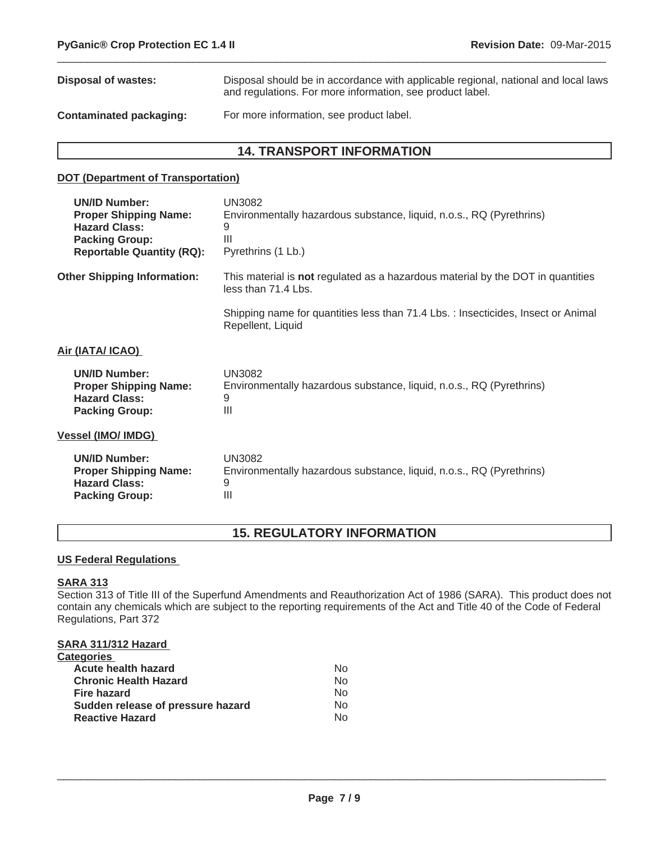| Disposal of wastes:     | Disposal should be in accordance with applicable regional, national and local laws<br>and regulations. For more information, see product label. |
|-------------------------|-------------------------------------------------------------------------------------------------------------------------------------------------|
| Contaminated packaging: | For more information, see product label.                                                                                                        |

 $\_$  ,  $\_$  ,  $\_$  ,  $\_$  ,  $\_$  ,  $\_$  ,  $\_$  ,  $\_$  ,  $\_$  ,  $\_$  ,  $\_$  ,  $\_$  ,  $\_$  ,  $\_$  ,  $\_$  ,  $\_$  ,  $\_$  ,  $\_$  ,  $\_$  ,  $\_$  ,  $\_$  ,  $\_$  ,  $\_$  ,  $\_$  ,  $\_$  ,  $\_$  ,  $\_$  ,  $\_$  ,  $\_$  ,  $\_$  ,  $\_$  ,  $\_$  ,  $\_$  ,  $\_$  ,  $\_$  ,  $\_$  ,  $\_$  ,

# **14. TRANSPORT INFORMATION**

#### **DOT (Department of Transportation)**

| UN3082<br>Environmentally hazardous substance, liquid, n.o.s., RQ (Pyrethrins)<br>9<br>Ш<br>Pyrethrins (1 Lb.) |
|----------------------------------------------------------------------------------------------------------------|
| This material is not regulated as a hazardous material by the DOT in quantities<br>less than 71.4 Lbs.         |
| Shipping name for quantities less than 71.4 Lbs. : Insecticides, Insect or Animal<br>Repellent, Liquid         |
|                                                                                                                |
| UN3082<br>Environmentally hazardous substance, liquid, n.o.s., RQ (Pyrethrins)<br>9<br>$\mathbf{III}$          |
|                                                                                                                |
| <b>UN3082</b><br>Environmentally hazardous substance, liquid, n.o.s., RQ (Pyrethrins)<br>9<br>$\mathbf{III}$   |
|                                                                                                                |

# **15. REGULATORY INFORMATION**

## **US Federal Regulations**

#### **SARA 313**

Section 313 of Title III of the Superfund Amendments and Reauthorization Act of 1986 (SARA). This product does not contain any chemicals which are subject to the reporting requirements of the Act and Title 40 of the Code of Federal Regulations, Part 372

# **SARA 311/312 Hazard**

| <b>Categories</b>                 |     |
|-----------------------------------|-----|
| Acute health hazard               | No. |
| <b>Chronic Health Hazard</b>      | No. |
| <b>Fire hazard</b>                | No. |
| Sudden release of pressure hazard | N٥  |
| <b>Reactive Hazard</b>            | N٥  |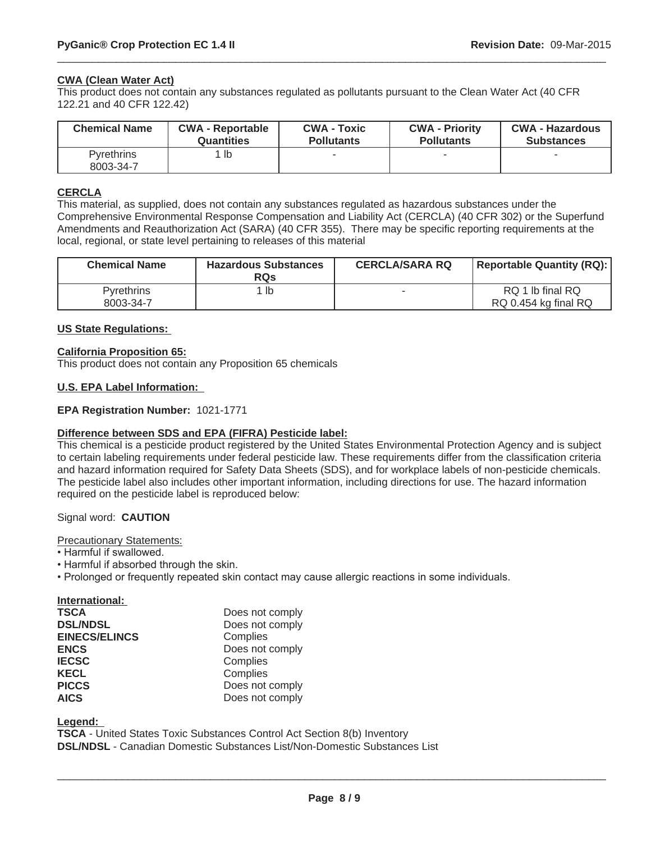#### **CWA (Clean Water Act)**

This product does not contain any substances regulated as pollutants pursuant to the Clean Water Act (40 CFR 122.21 and 40 CFR 122.42)

| <b>Chemical Name</b>           | <b>CWA - Reportable</b> | <b>CWA - Toxic</b> | <b>CWA - Priority</b> | <b>CWA - Hazardous</b> |
|--------------------------------|-------------------------|--------------------|-----------------------|------------------------|
|                                | <b>Quantities</b>       | <b>Pollutants</b>  | <b>Pollutants</b>     | <b>Substances</b>      |
| <b>Pyrethrins</b><br>8003-34-7 | $1$ lb                  |                    |                       |                        |

 $\_$  ,  $\_$  ,  $\_$  ,  $\_$  ,  $\_$  ,  $\_$  ,  $\_$  ,  $\_$  ,  $\_$  ,  $\_$  ,  $\_$  ,  $\_$  ,  $\_$  ,  $\_$  ,  $\_$  ,  $\_$  ,  $\_$  ,  $\_$  ,  $\_$  ,  $\_$  ,  $\_$  ,  $\_$  ,  $\_$  ,  $\_$  ,  $\_$  ,  $\_$  ,  $\_$  ,  $\_$  ,  $\_$  ,  $\_$  ,  $\_$  ,  $\_$  ,  $\_$  ,  $\_$  ,  $\_$  ,  $\_$  ,  $\_$  ,

#### **CERCLA**

This material, as supplied, does not contain any substances regulated as hazardous substances under the Comprehensive Environmental Response Compensation and Liability Act (CERCLA) (40 CFR 302) or the Superfund Amendments and Reauthorization Act (SARA) (40 CFR 355). There may be specific reporting requirements at the local, regional, or state level pertaining to releases of this material

| <b>Chemical Name</b>           | <b>Hazardous Substances</b><br><b>RQs</b> | <b>CERCLA/SARA RQ</b>    | <b>Reportable Quantity (RQ):</b>         |
|--------------------------------|-------------------------------------------|--------------------------|------------------------------------------|
| <b>Pyrethrins</b><br>8003-34-7 | ∣ lb                                      | $\overline{\phantom{a}}$ | RQ 1 lb final RQ<br>RQ 0.454 kg final RQ |

#### **US State Regulations:**

#### **California Proposition 65:**

This product does not contain any Proposition 65 chemicals

#### **U.S. EPA Label Information:**

#### **EPA Registration Number:** 1021-1771

#### **Difference between SDS and EPA (FIFRA) Pesticide label:**

This chemical is a pesticide product registered by the United States Environmental Protection Agency and is subject to certain labeling requirements under federal pesticide law. These requirements differ from the classification criteria and hazard information required for Safety Data Sheets (SDS), and for workplace labels of non-pesticide chemicals. The pesticide label also includes other important information, including directions for use. The hazard information required on the pesticide label is reproduced below:

#### Signal word: **CAUTION**

Precautionary Statements:

- Harmful if swallowed.
- Harmful if absorbed through the skin.
- Prolonged or frequently repeated skin contact may cause allergic reactions in some individuals.

| International:       |                 |
|----------------------|-----------------|
| <b>TSCA</b>          | Does not comply |
| <b>DSL/NDSL</b>      | Does not comply |
| <b>EINECS/ELINCS</b> | Complies        |
| <b>ENCS</b>          | Does not comply |
| <b>IECSC</b>         | Complies        |
| <b>KECL</b>          | Complies        |
| <b>PICCS</b>         | Does not comply |
| <b>AICS</b>          | Does not comply |

**Legend:**

**TSCA** - United States Toxic Substances Control Act Section 8(b) Inventory **DSL/NDSL** - Canadian Domestic Substances List/Non-Domestic Substances List